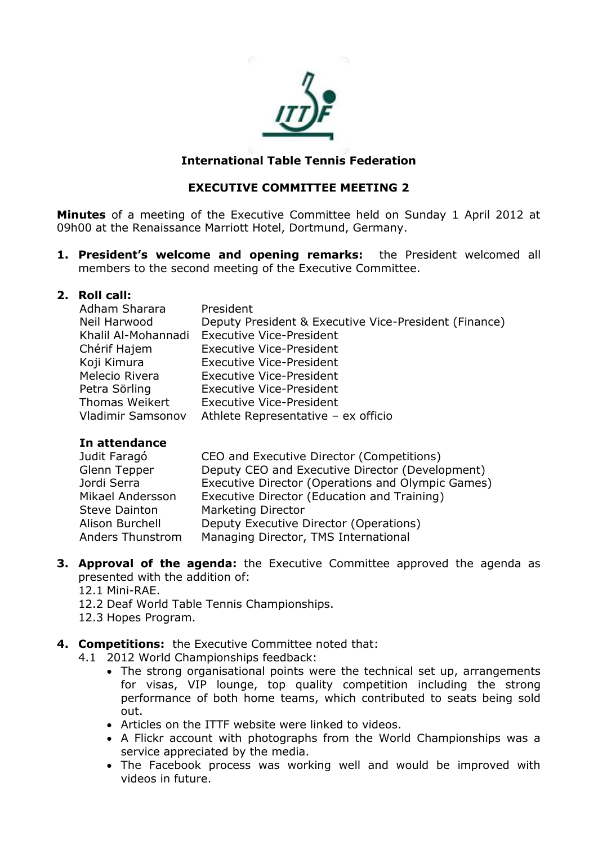

### **International Table Tennis Federation**

### **EXECUTIVE COMMITTEE MEETING 2**

**Minutes** of a meeting of the Executive Committee held on Sunday 1 April 2012 at 09h00 at the Renaissance Marriott Hotel, Dortmund, Germany.

**1. President's welcome and opening remarks:** the President welcomed all members to the second meeting of the Executive Committee.

### **2. Roll call:**

| Adham Sharara         | President                                             |
|-----------------------|-------------------------------------------------------|
| Neil Harwood          | Deputy President & Executive Vice-President (Finance) |
| Khalil Al-Mohannadi   | <b>Executive Vice-President</b>                       |
| Chérif Hajem          | <b>Executive Vice-President</b>                       |
| Koji Kimura           | <b>Executive Vice-President</b>                       |
| Melecio Rivera        | <b>Executive Vice-President</b>                       |
| Petra Sörling         | <b>Executive Vice-President</b>                       |
| <b>Thomas Weikert</b> | <b>Executive Vice-President</b>                       |
| Vladimir Samsonov     | Athlete Representative - ex officio                   |

#### **In attendance**

| Judit Faragó         | CEO and Executive Director (Competitions)         |
|----------------------|---------------------------------------------------|
| Glenn Tepper         | Deputy CEO and Executive Director (Development)   |
| Jordi Serra          | Executive Director (Operations and Olympic Games) |
| Mikael Andersson     | Executive Director (Education and Training)       |
| <b>Steve Dainton</b> | <b>Marketing Director</b>                         |
| Alison Burchell      | Deputy Executive Director (Operations)            |
| Anders Thunstrom     | Managing Director, TMS International              |

- **3. Approval of the agenda:** the Executive Committee approved the agenda as presented with the addition of:
	- 12.1 Mini-RAE.
	- 12.2 Deaf World Table Tennis Championships.
	- 12.3 Hopes Program.

# **4. Competitions:** the Executive Committee noted that:

- 4.1 2012 World Championships feedback:
	- The strong organisational points were the technical set up, arrangements for visas, VIP lounge, top quality competition including the strong performance of both home teams, which contributed to seats being sold out.
	- Articles on the ITTF website were linked to videos.
	- A Flickr account with photographs from the World Championships was a service appreciated by the media.
	- The Facebook process was working well and would be improved with videos in future.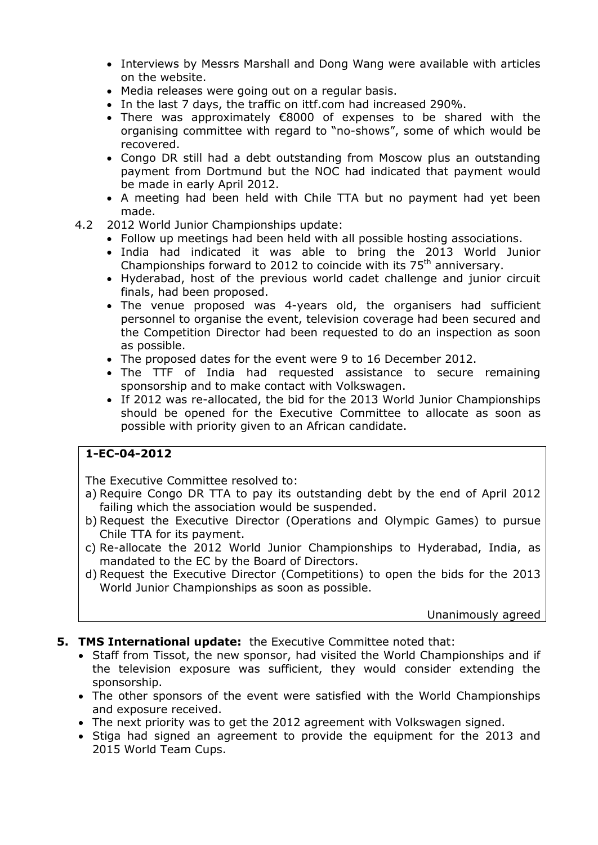- Interviews by Messrs Marshall and Dong Wang were available with articles on the website.
- Media releases were going out on a regular basis.
- In the last 7 days, the traffic on ittf.com had increased 290%.
- There was approximately €8000 of expenses to be shared with the organising committee with regard to "no-shows", some of which would be recovered.
- Congo DR still had a debt outstanding from Moscow plus an outstanding payment from Dortmund but the NOC had indicated that payment would be made in early April 2012.
- A meeting had been held with Chile TTA but no payment had yet been made.
- 4.2 2012 World Junior Championships update:
	- Follow up meetings had been held with all possible hosting associations.
	- India had indicated it was able to bring the 2013 World Junior Championships forward to 2012 to coincide with its  $75<sup>th</sup>$  anniversary.
	- Hyderabad, host of the previous world cadet challenge and junior circuit finals, had been proposed.
	- The venue proposed was 4-years old, the organisers had sufficient personnel to organise the event, television coverage had been secured and the Competition Director had been requested to do an inspection as soon as possible.
	- The proposed dates for the event were 9 to 16 December 2012.
	- The TTF of India had requested assistance to secure remaining sponsorship and to make contact with Volkswagen.
	- If 2012 was re-allocated, the bid for the 2013 World Junior Championships should be opened for the Executive Committee to allocate as soon as possible with priority given to an African candidate.

# **1-EC-04-2012**

The Executive Committee resolved to:

- a) Require Congo DR TTA to pay its outstanding debt by the end of April 2012 failing which the association would be suspended.
- b) Request the Executive Director (Operations and Olympic Games) to pursue Chile TTA for its payment.
- c) Re-allocate the 2012 World Junior Championships to Hyderabad, India, as mandated to the EC by the Board of Directors.
- d) Request the Executive Director (Competitions) to open the bids for the 2013 World Junior Championships as soon as possible.

Unanimously agreed

- **5. TMS International update:** the Executive Committee noted that:
	- Staff from Tissot, the new sponsor, had visited the World Championships and if the television exposure was sufficient, they would consider extending the sponsorship.
	- The other sponsors of the event were satisfied with the World Championships and exposure received.
	- The next priority was to get the 2012 agreement with Volkswagen signed.
	- Stiga had signed an agreement to provide the equipment for the 2013 and 2015 World Team Cups.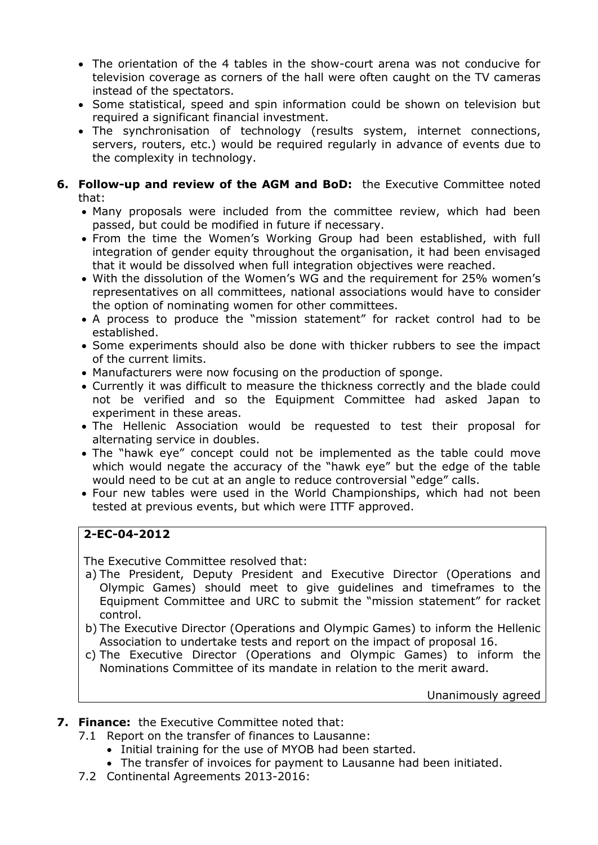- The orientation of the 4 tables in the show-court arena was not conducive for television coverage as corners of the hall were often caught on the TV cameras instead of the spectators.
- Some statistical, speed and spin information could be shown on television but required a significant financial investment.
- The synchronisation of technology (results system, internet connections, servers, routers, etc.) would be required regularly in advance of events due to the complexity in technology.

# **6. Follow-up and review of the AGM and BoD:** the Executive Committee noted that:

- Many proposals were included from the committee review, which had been passed, but could be modified in future if necessary.
- From the time the Women's Working Group had been established, with full integration of gender equity throughout the organisation, it had been envisaged that it would be dissolved when full integration objectives were reached.
- With the dissolution of the Women's WG and the requirement for 25% women's representatives on all committees, national associations would have to consider the option of nominating women for other committees.
- A process to produce the "mission statement" for racket control had to be established.
- Some experiments should also be done with thicker rubbers to see the impact of the current limits.
- Manufacturers were now focusing on the production of sponge.
- Currently it was difficult to measure the thickness correctly and the blade could not be verified and so the Equipment Committee had asked Japan to experiment in these areas.
- The Hellenic Association would be requested to test their proposal for alternating service in doubles.
- The "hawk eye" concept could not be implemented as the table could move which would negate the accuracy of the "hawk eye" but the edge of the table would need to be cut at an angle to reduce controversial "edge" calls.
- Four new tables were used in the World Championships, which had not been tested at previous events, but which were ITTF approved.

# **2-EC-04-2012**

The Executive Committee resolved that:

- a) The President, Deputy President and Executive Director (Operations and Olympic Games) should meet to give guidelines and timeframes to the Equipment Committee and URC to submit the "mission statement" for racket control.
- b) The Executive Director (Operations and Olympic Games) to inform the Hellenic Association to undertake tests and report on the impact of proposal 16.
- c) The Executive Director (Operations and Olympic Games) to inform the Nominations Committee of its mandate in relation to the merit award.

Unanimously agreed

# **7. Finance:** the Executive Committee noted that:

- 7.1 Report on the transfer of finances to Lausanne:
	- Initial training for the use of MYOB had been started.
	- The transfer of invoices for payment to Lausanne had been initiated.
- 7.2 Continental Agreements 2013-2016: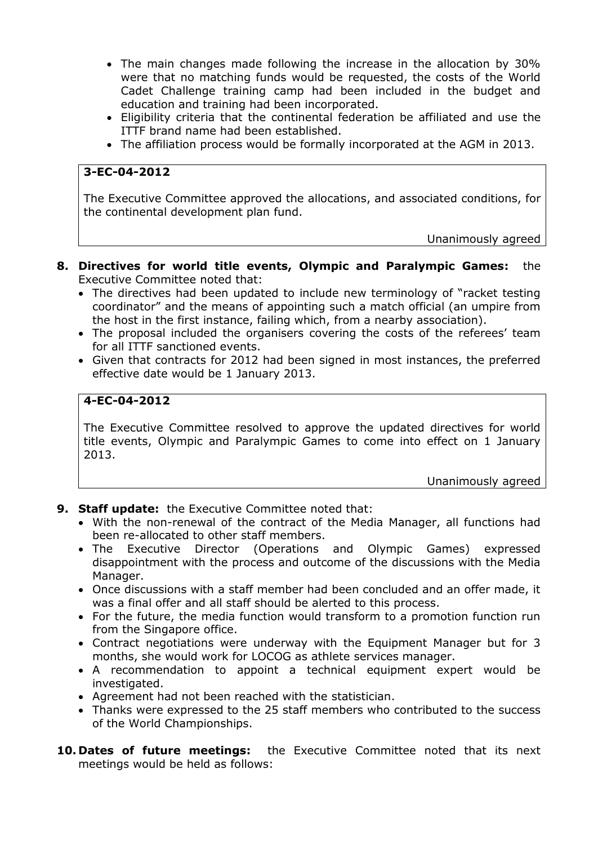- The main changes made following the increase in the allocation by 30% were that no matching funds would be requested, the costs of the World Cadet Challenge training camp had been included in the budget and education and training had been incorporated.
- Eligibility criteria that the continental federation be affiliated and use the ITTF brand name had been established.
- The affiliation process would be formally incorporated at the AGM in 2013.

# **3-EC-04-2012**

The Executive Committee approved the allocations, and associated conditions, for the continental development plan fund.

Unanimously agreed

- **8. Directives for world title events, Olympic and Paralympic Games:** the Executive Committee noted that:
	- The directives had been updated to include new terminology of "racket testing coordinator" and the means of appointing such a match official (an umpire from the host in the first instance, failing which, from a nearby association).
	- The proposal included the organisers covering the costs of the referees' team for all ITTF sanctioned events.
	- Given that contracts for 2012 had been signed in most instances, the preferred effective date would be 1 January 2013.

### **4-EC-04-2012**

The Executive Committee resolved to approve the updated directives for world title events, Olympic and Paralympic Games to come into effect on 1 January 2013.

Unanimously agreed

- **9. Staff update:** the Executive Committee noted that:
	- With the non-renewal of the contract of the Media Manager, all functions had been re-allocated to other staff members.
	- The Executive Director (Operations and Olympic Games) expressed disappointment with the process and outcome of the discussions with the Media Manager.
	- Once discussions with a staff member had been concluded and an offer made, it was a final offer and all staff should be alerted to this process.
	- For the future, the media function would transform to a promotion function run from the Singapore office.
	- Contract negotiations were underway with the Equipment Manager but for 3 months, she would work for LOCOG as athlete services manager.
	- A recommendation to appoint a technical equipment expert would be investigated.
	- Agreement had not been reached with the statistician.
	- Thanks were expressed to the 25 staff members who contributed to the success of the World Championships.
- **10. Dates of future meetings:** the Executive Committee noted that its next meetings would be held as follows: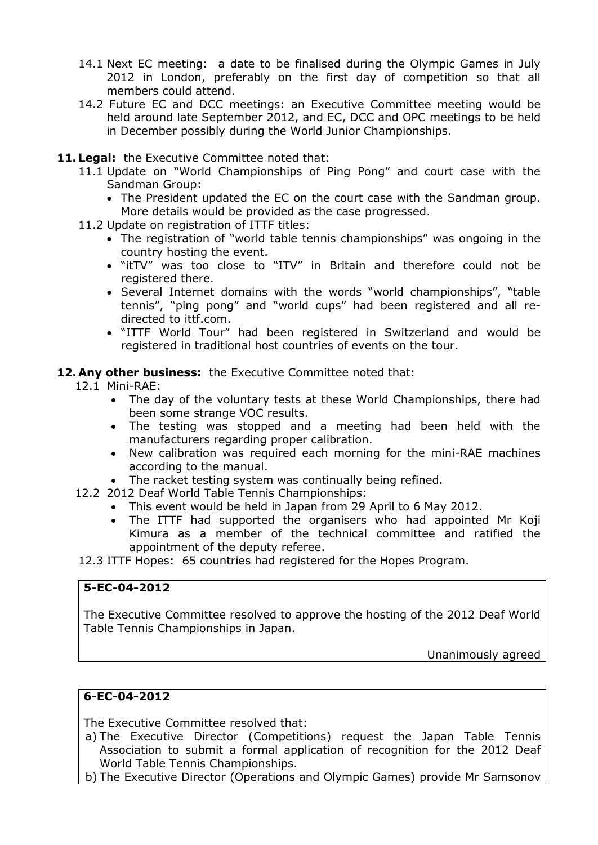- 14.1 Next EC meeting: a date to be finalised during the Olympic Games in July 2012 in London, preferably on the first day of competition so that all members could attend.
- 14.2 Future EC and DCC meetings: an Executive Committee meeting would be held around late September 2012, and EC, DCC and OPC meetings to be held in December possibly during the World Junior Championships.
- **11. Legal:** the Executive Committee noted that:
	- 11.1 Update on "World Championships of Ping Pong" and court case with the Sandman Group:
		- The President updated the EC on the court case with the Sandman group. More details would be provided as the case progressed.
	- 11.2 Update on registration of ITTF titles:
		- The registration of "world table tennis championships" was ongoing in the country hosting the event.
		- "itTV" was too close to "ITV" in Britain and therefore could not be registered there.
		- Several Internet domains with the words "world championships", "table tennis", "ping pong" and "world cups" had been registered and all redirected to ittf.com.
		- "ITTF World Tour" had been registered in Switzerland and would be registered in traditional host countries of events on the tour.

### **12. Any other business:** the Executive Committee noted that:

- 12.1 Mini-RAE:
	- The day of the voluntary tests at these World Championships, there had been some strange VOC results.
	- The testing was stopped and a meeting had been held with the manufacturers regarding proper calibration.
	- New calibration was required each morning for the mini-RAE machines according to the manual.
	- The racket testing system was continually being refined.
- 12.2 2012 Deaf World Table Tennis Championships:
	- This event would be held in Japan from 29 April to 6 May 2012.
	- The ITTF had supported the organisers who had appointed Mr Koji Kimura as a member of the technical committee and ratified the appointment of the deputy referee.

12.3 ITTF Hopes: 65 countries had registered for the Hopes Program.

# **5-EC-04-2012**

The Executive Committee resolved to approve the hosting of the 2012 Deaf World Table Tennis Championships in Japan.

Unanimously agreed

# **6-EC-04-2012**

The Executive Committee resolved that:

- a) The Executive Director (Competitions) request the Japan Table Tennis Association to submit a formal application of recognition for the 2012 Deaf World Table Tennis Championships.
- b) The Executive Director (Operations and Olympic Games) provide Mr Samsonov